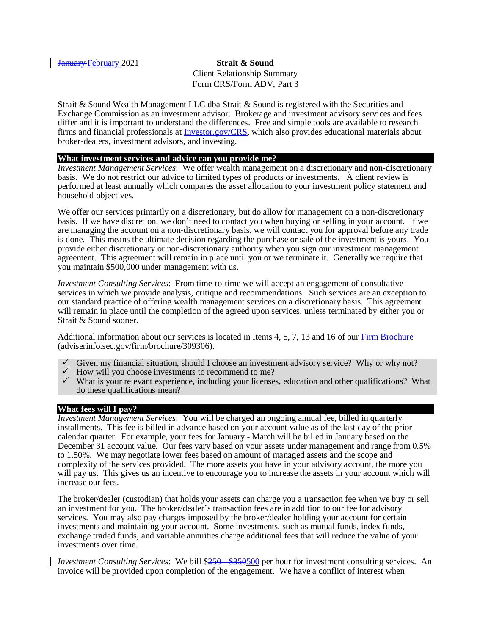January February 2021 **Strait & Sound** Client Relationship Summary Form CRS/Form ADV, Part 3

Strait & Sound Wealth Management LLC dba Strait & Sound is registered with the Securities and Exchange Commission as an investment advisor. Brokerage and investment advisory services and fees differ and it is important to understand the differences. Free and simple tools are available to research firms and financial professionals at [Investor.gov/CRS,](http://investor.gov/CRS) which also provides educational materials about broker-dealers, investment advisors, and investing.

#### **What investment services and advice can you provide me?**

*Investment Management Services*: We offer wealth management on a discretionary and non-discretionary basis. We do not restrict our advice to limited types of products or investments. A client review is performed at least annually which compares the asset allocation to your investment policy statement and household objectives.

We offer our services primarily on a discretionary, but do allow for management on a non-discretionary basis. If we have discretion, we don't need to contact you when buying or selling in your account. If we are managing the account on a non-discretionary basis, we will contact you for approval before any trade is done. This means the ultimate decision regarding the purchase or sale of the investment is yours. You provide either discretionary or non-discretionary authority when you sign our investment management agreement. This agreement will remain in place until you or we terminate it. Generally we require that you maintain \$500,000 under management with us.

*Investment Consulting Services*: From time-to-time we will accept an engagement of consultative services in which we provide analysis, critique and recommendations. Such services are an exception to our standard practice of offering wealth management services on a discretionary basis. This agreement will remain in place until the completion of the agreed upon services, unless terminated by either you or Strait & Sound sooner.

Additional information about our services is located in Items 4, 5, 7, 13 and 16 of our [Firm Brochure](https://adviserinfo.sec.gov/firm/brochure/309306) (adviserinfo.sec.gov/firm/brochure/309306).

- Given my financial situation, should I choose an investment advisory service? Why or why not?
- $\checkmark$  How will you choose investments to recommend to me?
- $\checkmark$  What is your relevant experience, including your licenses, education and other qualifications? What do these qualifications mean?

## **What fees will I pay?**

*Investment Management Services*: You will be charged an ongoing annual fee, billed in quarterly installments. This fee is billed in advance based on your account value as of the last day of the prior calendar quarter. For example, your fees for January - March will be billed in January based on the December 31 account value. Our fees vary based on your assets under management and range from 0.5% to 1.50%. We may negotiate lower fees based on amount of managed assets and the scope and complexity of the services provided. The more assets you have in your advisory account, the more you will pay us. This gives us an incentive to encourage you to increase the assets in your account which will increase our fees.

The broker/dealer (custodian) that holds your assets can charge you a transaction fee when we buy or sell an investment for you. The broker/dealer's transaction fees are in addition to our fee for advisory services. You may also pay charges imposed by the broker/dealer holding your account for certain investments and maintaining your account. Some investments, such as mutual funds, index funds, exchange traded funds, and variable annuities charge additional fees that will reduce the value of your investments over time.

*Investment Consulting Services*: We bill  $\frac{$250 - $350500}{2}$  per hour for investment consulting services. An invoice will be provided upon completion of the engagement. We have a conflict of interest when